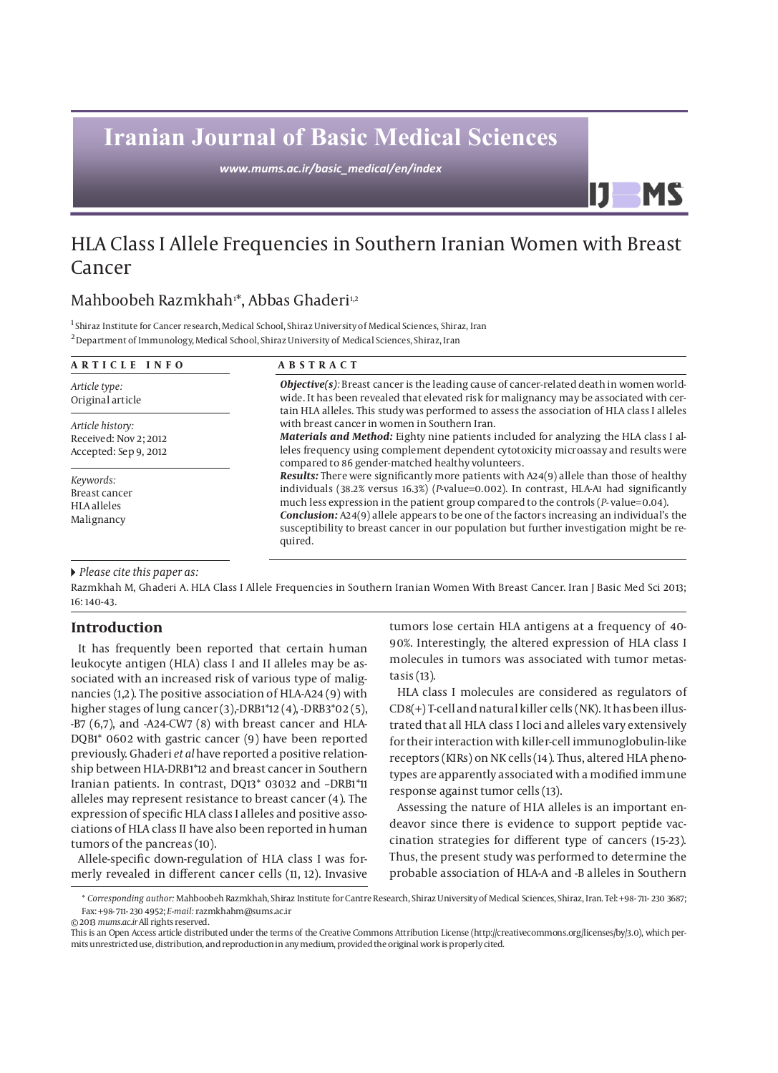# **Iranian Journal of Basic Medical Sciences**

*www.mums.ac.ir/basic\_medical/en/index*

## HLA Class I Allele Frequencies in Southern Iranian Women with Breast Cancer

### Mahboobeh Razmkhah<sup>ı</sup>\*, Abbas Ghaderi<sup>ı,2</sup>

<sup>1</sup> Shiraz Institute for Cancer research, Medical School, Shiraz University of Medical Sciences, Shiraz, Iran 2 Department of Immunology, Medical School, Shiraz University of Medical Sciences, Shiraz, Iran

| ARTICLE INFO                                                       | <b>ABSTRACT</b>                                                                                                                                                                                                                                                                                                                                                                                                                                                                                |  |  |  |  |
|--------------------------------------------------------------------|------------------------------------------------------------------------------------------------------------------------------------------------------------------------------------------------------------------------------------------------------------------------------------------------------------------------------------------------------------------------------------------------------------------------------------------------------------------------------------------------|--|--|--|--|
| Article type:<br>Original article                                  | <b>Objective(s)</b> : Breast cancer is the leading cause of cancer-related death in women world-<br>wide. It has been revealed that elevated risk for malignancy may be associated with cer-<br>tain HLA alleles. This study was performed to assess the association of HLA class I alleles                                                                                                                                                                                                    |  |  |  |  |
| Article history:<br>Received: Nov 2; 2012<br>Accepted: Sep 9, 2012 | with breast cancer in women in Southern Iran.<br><b>Materials and Method:</b> Eighty nine patients included for analyzing the HLA class I al-<br>leles frequency using complement dependent cytotoxicity microassay and results were<br>compared to 86 gender-matched healthy volunteers.                                                                                                                                                                                                      |  |  |  |  |
| Keywords:<br>Breast cancer<br><b>HLA</b> alleles<br>Malignancy     | <b>Results:</b> There were significantly more patients with A24(9) allele than those of healthy<br>individuals (38.2% versus 16.3%) (P-value=0.002). In contrast, HLA-A1 had significantly<br>much less expression in the patient group compared to the controls $(P$ -value=0.04).<br><b>Conclusion:</b> A24(9) allele appears to be one of the factors increasing an individual's the<br>susceptibility to breast cancer in our population but further investigation might be re-<br>quired. |  |  |  |  |

 *Please cite this paper as:* 

Razmkhah M, Ghaderi A. HLA Class I Allele Frequencies in Southern Iranian Women With Breast Cancer. Iran J Basic Med Sci 2013; 16: 140-43.

#### **Introduction**

It has frequently been reported that certain human leukocyte antigen (HLA) class I and II alleles may be associated with an increased risk of various type of malignancies (1,2). The positive association of HLA-A24 (9) with higher stages of lung cancer (3),-DRB1\*12 (4), -DRB3\*02 (5), -B7 (6,7), and -A24-CW7 (8) with breast cancer and HLA-DQB1\* 0602 with gastric cancer (9) have been reported previously. Ghaderi *et al* have reported a positive relationship between HLA-DRB1\*12 and breast cancer in Southern Iranian patients. In contrast, DQ13\* 03032 and –DRB1\*11 alleles may represent resistance to breast cancer (4). The expression of specific HLA class I alleles and positive associations of HLA class II have also been reported in human tumors of the pancreas (10).

Allele-specific down-regulation of HLA class I was formerly revealed in different cancer cells (11, 12). Invasive tumors lose certain HLA antigens at a frequency of 40- 90%. Interestingly, the altered expression of HLA class I molecules in tumors was associated with tumor metastasis (13).

IJ

HLA class I molecules are considered as regulators of CD8(+) T-cell and natural killer cells (NK). It has been illustrated that all HLA class I loci and alleles vary extensively for their interaction with killer-cell immunoglobulin-like receptors (KIRs) on NK cells (14). Thus, altered HLA phenotypes are apparently associated with a modified immune response against tumor cells (13).

Assessing the nature of HLA alleles is an important endeavor since there is evidence to support peptide vaccination strategies for different type of cancers (15-23). Thus, the present study was performed to determine the probable association of HLA-A and -B alleles in Southern

© 2013 *mums.ac.ir* All rights reserved.

This is an Open Access article distributed under the terms of the Creative Commons Attribution License (http://creativecommons.org/licenses/by/3.0), which permits unrestricted use, distribution, and reproduction in any medium, provided the original work is properly cited.

<sup>\*</sup> *Corresponding author:* Mahboobeh Razmkhah, Shiraz Institute for Cantre Research, Shiraz University of Medical Sciences, Shiraz, Iran. Tel: +98- 711- 230 3687; Fax: +98- 711- 230 4952; *E-mail:* razmkhahm@sums.ac.ir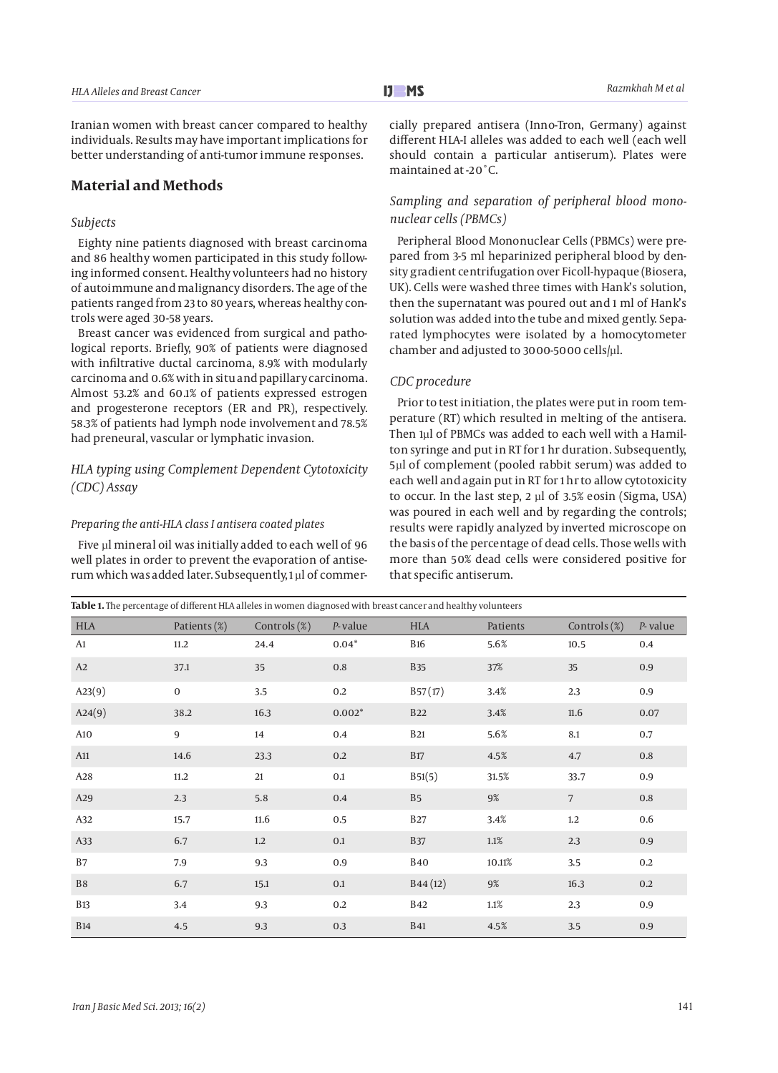Iranian women with breast cancer compared to healthy individuals. Results may have important implications for better understanding of anti-tumor immune responses.

#### **Material and Methods**

#### *Subjects*

Eighty nine patients diagnosed with breast carcinoma and 86 healthy women participated in this study following informed consent. Healthy volunteers had no history of autoimmune and malignancy disorders. The age of the patients ranged from 23 to 80 years, whereas healthy controls were aged 30-58 years.

Breast cancer was evidenced from surgical and pathological reports. Briefly, 90% of patients were diagnosed with infiltrative ductal carcinoma, 8.9% with modularly carcinoma and 0.6% with in situ and papillary carcinoma. Almost 53.2% and 60.1% of patients expressed estrogen and progesterone receptors (ER and PR), respectively. 58.3% of patients had lymph node involvement and 78.5% had preneural, vascular or lymphatic invasion.

#### *HLA typing using Complement Dependent Cytotoxicity (CDC) Assay*

#### *Preparing the anti-HLA class I antisera coated plates*

Five µl mineral oil was initially added to each well of 96 well plates in order to prevent the evaporation of antiserum which was added later. Subsequently, 1 µl of commercially prepared antisera (Inno-Tron, Germany) against different HLA-I alleles was added to each well (each well should contain a particular antiserum). Plates were maintained at -20˚C.

#### *Sampling and separation of peripheral blood mononuclear cells (PBMCs)*

Peripheral Blood Mononuclear Cells (PBMCs) were prepared from 3-5 ml heparinized peripheral blood by density gradient centrifugation over Ficoll-hypaque (Biosera, UK). Cells were washed three times with Hank's solution, then the supernatant was poured out and 1 ml of Hank's solution was added into the tube and mixed gently. Separated lymphocytes were isolated by a homocytometer chamber and adjusted to 3000-5000 cells/µl.

#### *CDC procedure*

Prior to test initiation, the plates were put in room temperature (RT) which resulted in melting of the antisera. Then 1µl of PBMCs was added to each well with a Hamilton syringe and put in RT for 1 hr duration. Subsequently, 5µl of complement (pooled rabbit serum) was added to each well and again put in RT for 1 hr to allow cytotoxicity to occur. In the last step, 2 µl of 3.5% eosin (Sigma, USA) was poured in each well and by regarding the controls; results were rapidly analyzed by inverted microscope on the basis of the percentage of dead cells. Those wells with more than 50% dead cells were considered positive for that specific antiserum.

| <b>HLA</b> | Patients (%)   | Controls (%)     | $P$ -value | <b>HLA</b>     | Patients | Controls (%) | $P$ -value |
|------------|----------------|------------------|------------|----------------|----------|--------------|------------|
| A1         | 11.2           | 24.4             | $0.04*$    | <b>B16</b>     | 5.6%     | 10.5         | 0.4        |
| A2         | 37.1           | 35               | 0.8        | <b>B35</b>     | 37%      | 35           | 0.9        |
| A23(9)     | $\mathbf 0$    | 3.5              | 0.2        | B57(17)        | 3.4%     | 2.3          | 0.9        |
| A24(9)     | 38.2           | 16.3             | $0.002*$   | <b>B22</b>     | 3.4%     | 11.6         | 0.07       |
| A10        | $\overline{9}$ | 14               | 0.4        | <b>B21</b>     | 5.6%     | 8.1          | 0.7        |
| A11        | 14.6           | 23.3             | 0.2        | <b>B17</b>     | 4.5%     | 4.7          | 0.8        |
| A28        | 11.2           | 21               | 0.1        | B51(5)         | 31.5%    | 33.7         | 0.9        |
| A29        | 2.3            | 5.8              | 0.4        | B <sub>5</sub> | 9%       | 7            | $0.8\,$    |
| A32        | 15.7           | 11.6             | 0.5        | <b>B27</b>     | 3.4%     | 1.2          | 0.6        |
| A33        | 6.7            | $1.2\phantom{0}$ | 0.1        | <b>B37</b>     | 1.1%     | 2.3          | 0.9        |
| B7         | 7.9            | 9.3              | 0.9        | <b>B40</b>     | 10.11%   | 3.5          | 0.2        |
| B8         | 6.7            | 15.1             | $0.1\,$    | B44(12)        | 9%       | 16.3         | 0.2        |
| <b>B13</b> | 3.4            | 9.3              | 0.2        | <b>B42</b>     | $1.1\%$  | 2.3          | 0.9        |
| <b>B14</b> | 4.5            | 9.3              | 0.3        | <b>B41</b>     | 4.5%     | 3.5          | 0.9        |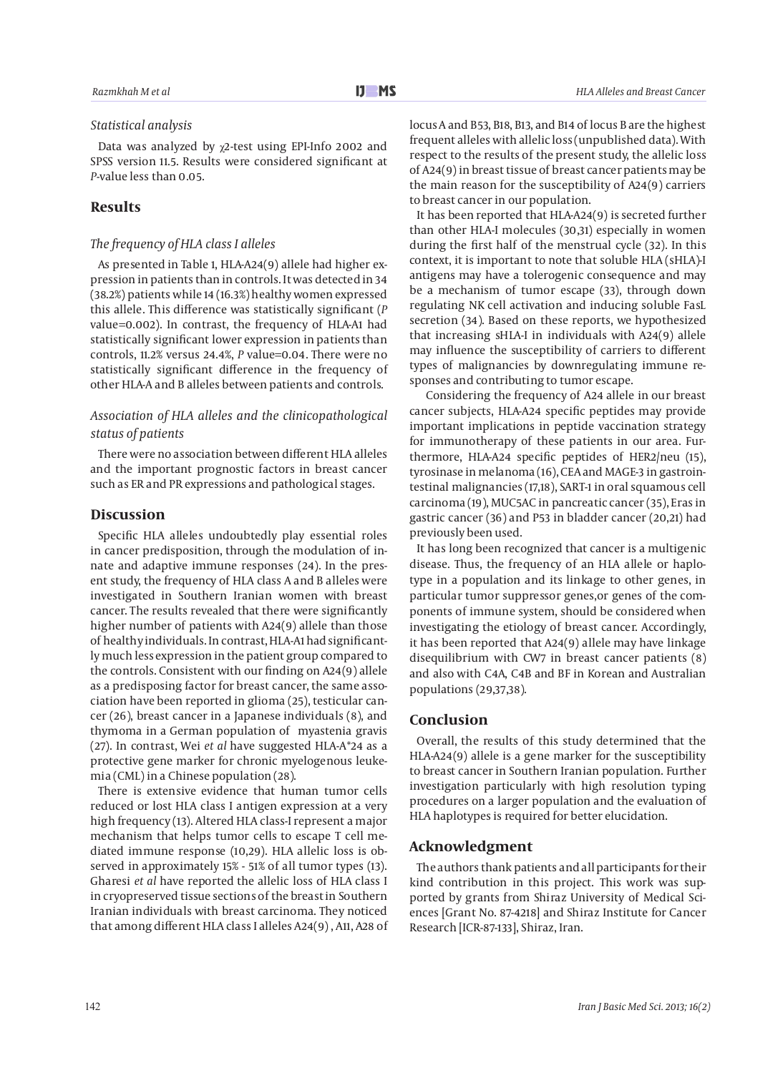#### *Statistical analysis*

Data was analyzed by χ2-test using EPI-Info 2002 and SPSS version 11.5. Results were considered significant at *P-*value less than 0.05.

#### **Results**

#### *The frequency of HLA class I alleles*

As presented in Table 1, HLA-A24(9) allele had higher expression in patients than in controls. It was detected in 34 (38.2%) patients while 14 (16.3%) healthy women expressed this allele. This difference was statistically significant (*P*  value=0.002). In contrast, the frequency of HLA-A1 had statistically significant lower expression in patients than controls, 11.2% versus 24.4%, *P* value=0.04. There were no statistically significant difference in the frequency of other HLA-A and B alleles between patients and controls.

#### *Association of HLA alleles and the clinicopathological status of patients*

There were no association between different HLA alleles and the important prognostic factors in breast cancer such as ER and PR expressions and pathological stages.

#### **Discussion**

Specific HLA alleles undoubtedly play essential roles in cancer predisposition, through the modulation of innate and adaptive immune responses (24). In the present study, the frequency of HLA class A and B alleles were investigated in Southern Iranian women with breast cancer. The results revealed that there were significantly higher number of patients with A24(9) allele than those of healthy individuals. In contrast, HLA-A1 had significantly much less expression in the patient group compared to the controls. Consistent with our finding on A24(9) allele as a predisposing factor for breast cancer, the same association have been reported in glioma (25), testicular cancer (26), breast cancer in a Japanese individuals (8), and thymoma in a German population of myastenia gravis (27). In contrast, Wei *et al* have suggested HLA-A\*24 as a protective gene marker for chronic myelogenous leukemia (CML) in a Chinese population (28).

There is extensive evidence that human tumor cells reduced or lost HLA class I antigen expression at a very high frequency (13). Altered HLA class-I represent a major mechanism that helps tumor cells to escape T cell mediated immune response (10,29). HLA allelic loss is observed in approximately 15% - 51% of all tumor types (13). Gharesi *et al* have reported the allelic loss of HLA class I in cryopreserved tissue sections of the breast in Southern Iranian individuals with breast carcinoma. They noticed that among different HLA class I alleles A24(9) , A11, A28 of locus A and B53, B18, B13, and B14 of locus B are the highest

frequent alleles with allelic loss (unpublished data). With respect to the results of the present study, the allelic loss of A24(9) in breast tissue of breast cancer patients may be the main reason for the susceptibility of A24(9) carriers to breast cancer in our population.

It has been reported that HLA-A24(9) is secreted further than other HLA-I molecules (30,31) especially in women during the first half of the menstrual cycle (32). In this context, it is important to note that soluble HLA (sHLA)-I antigens may have a tolerogenic consequence and may be a mechanism of tumor escape (33), through down regulating NK cell activation and inducing soluble FasL secretion (34). Based on these reports, we hypothesized that increasing sHLA-I in individuals with A24(9) allele may influence the susceptibility of carriers to different types of malignancies by downregulating immune responses and contributing to tumor escape.

 Considering the frequency of A24 allele in our breast cancer subjects, HLA-A24 specific peptides may provide important implications in peptide vaccination strategy for immunotherapy of these patients in our area. Furthermore, HLA-A24 specific peptides of HER2/neu (15), tyrosinase in melanoma (16), CEA and MAGE-3 in gastrointestinal malignancies (17,18), SART-1 in oral squamous cell carcinoma (19), MUC5AC in pancreatic cancer (35), Eras in gastric cancer (36) and P53 in bladder cancer (20,21) had previously been used.

It has long been recognized that cancer is a multigenic disease. Thus, the frequency of an HLA allele or haplotype in a population and its linkage to other genes, in particular tumor suppressor genes,or genes of the components of immune system, should be considered when investigating the etiology of breast cancer. Accordingly, it has been reported that A24(9) allele may have linkage disequilibrium with CW7 in breast cancer patients (8) and also with C4A, C4B and BF in Korean and Australian populations (29,37,38).

#### **Conclusion**

Overall, the results of this study determined that the HLA-A24(9) allele is a gene marker for the susceptibility to breast cancer in Southern Iranian population. Further investigation particularly with high resolution typing procedures on a larger population and the evaluation of HLA haplotypes is required for better elucidation.

#### **Acknowledgment**

The authors thank patients and all participants for their kind contribution in this project. This work was supported by grants from Shiraz University of Medical Sciences [Grant No. 87-4218] and Shiraz Institute for Cancer Research [ICR-87-133], Shiraz, Iran.